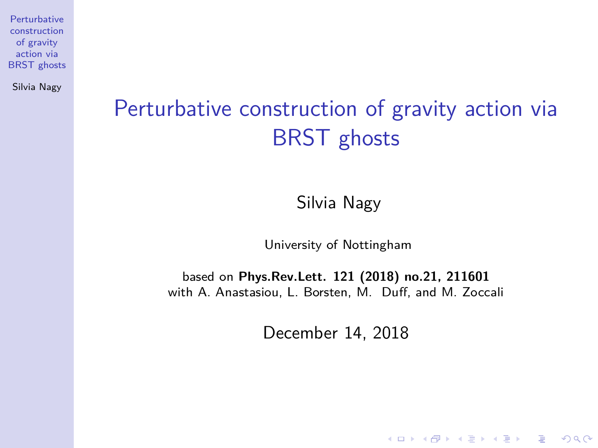Silvia Nagy

# <span id="page-0-0"></span>Perturbative construction of gravity action via BRST ghosts

Silvia Nagy

University of Nottingham

based on **Phys.Rev.Lett. 121 (2018) no.21, 211601** with A. Anastasiou, L. Borsten, M. Duff, and M. Zoccali

December 14, 2018

**KORK ERKER ADAM ADA**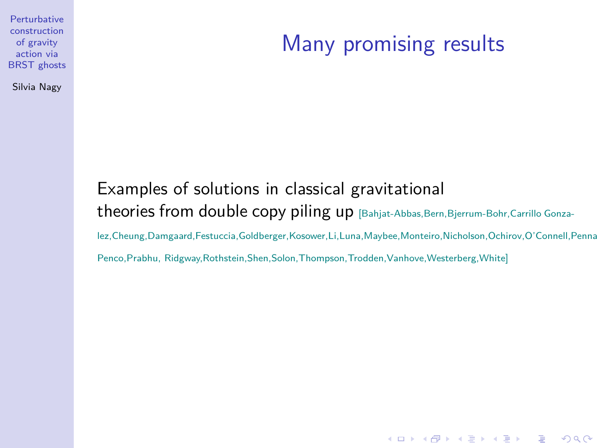Silvia Nagy

#### Many promising results

**KORK ERKER ADAM ADA** 

#### Examples of solutions in classical gravitational theories from double copy piling up [Bahjat-Abbas,Bern,Bjerrum-Bohr,Carrillo Gonzalez,Cheung,Damgaard,Festuccia,Goldberger,Kosower,Li,Luna,Maybee,Monteiro,Nicholson,Ochirov,O'Connell,Penna, Penco,Prabhu, Ridgway,Rothstein,Shen,Solon,Thompson,Trodden,Vanhove,Westerberg,White]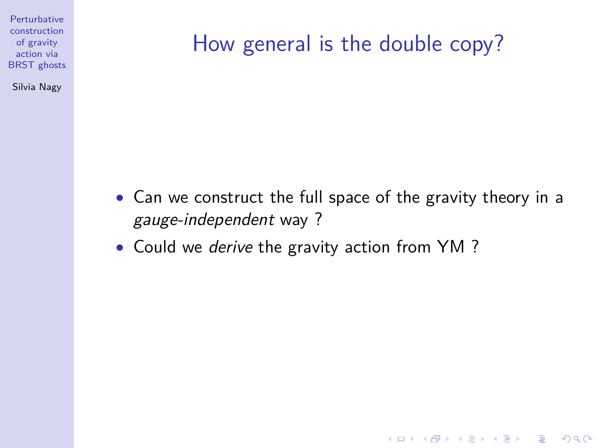Silvia Nagy

## How general is the double copy?

• Can we construct the full space of the gravity theory in a gauge-independent way ?

**KORK ERKER ADAM ADA** 

• Could we *derive* the gravity action from YM?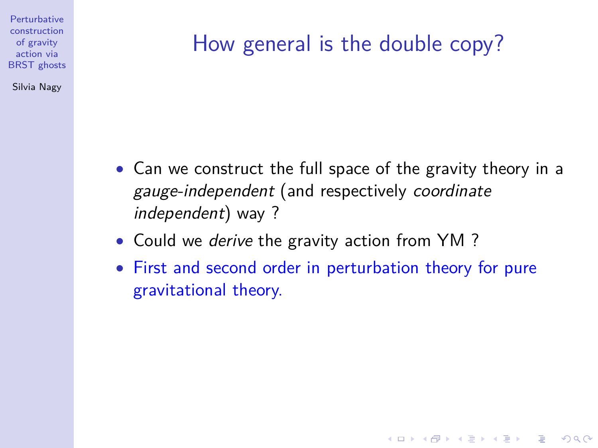Silvia Nagy

# How general is the double copy?

- Can we construct the full space of the gravity theory in a gauge-independent (and respectively coordinate independent) way ?
- Could we *derive* the gravity action from YM ?
- First and second order in perturbation theory for pure gravitational theory.

**KORKARYKERKER POLO**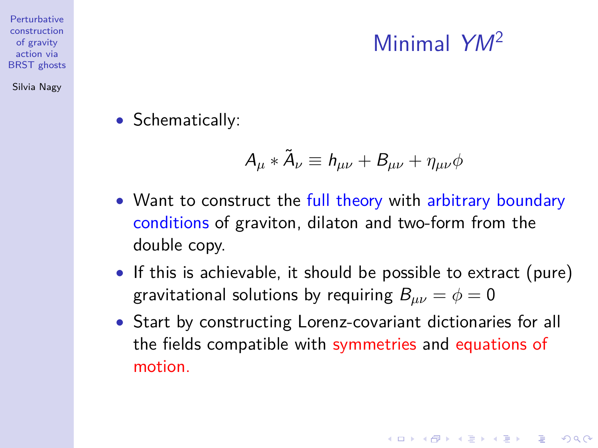# Minimal YM<sup>2</sup>

• Schematically:

$$
A_\mu*\tilde A_\nu\equiv h_{\mu\nu}+B_{\mu\nu}+\eta_{\mu\nu}\phi
$$

- Want to construct the full theory with arbitrary boundary conditions of graviton, dilaton and two-form from the double copy.
- If this is achievable, it should be possible to extract (pure) gravitational solutions by requiring  $B_{\mu\nu} = \phi = 0$
- Start by constructing Lorenz-covariant dictionaries for all the fields compatible with symmetries and equations of motion.

action via [BRST ghosts](#page-0-0) Silvia Nagy

**Perturbative** construction of gravity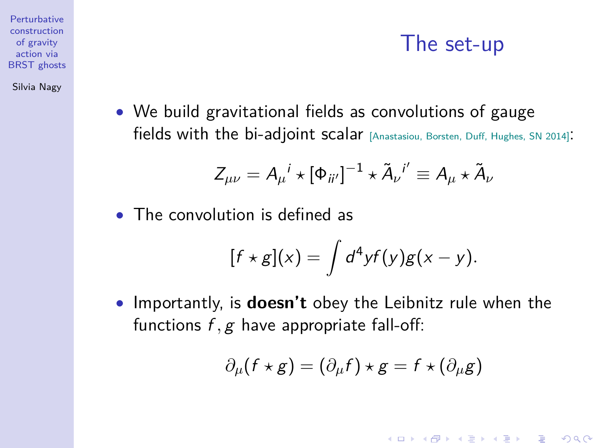#### The set-up

**KORKARYKERKER POLO** 

• We build gravitational fields as convolutions of gauge fields with the bi-adjoint scalar [Anastasiou, Borsten, Duff, Hughes, SN 2014]:

$$
Z_{\mu\nu} = A_{\mu}^{\ \ i} \star [\Phi_{ii'}]^{-1} \star \tilde{A}_{\nu}^{\ \ i'} \equiv A_{\mu} \star \tilde{A}_{\nu}
$$

• The convolution is defined as

$$
[f\star g](x)=\int d^4y f(y)g(x-y).
$$

• Importantly, is **doesn't** obey the Leibnitz rule when the functions f, g have appropriate fall-off:

$$
\partial_{\mu}(f \star g) = (\partial_{\mu}f) \star g = f \star (\partial_{\mu}g)
$$

**Perturbative** construction of gravity action via **BRST** ghosts

Silvia Nagy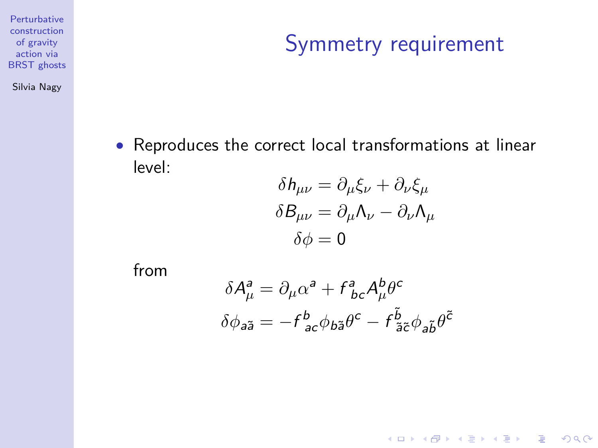Silvia Nagy

### Symmetry requirement

K ロ ▶ K @ ▶ K 할 ▶ K 할 ▶ 이 할 → 9 Q Q →

• Reproduces the correct local transformations at linear level:

$$
\delta h_{\mu\nu} = \partial_{\mu}\xi_{\nu} + \partial_{\nu}\xi_{\mu}
$$

$$
\delta B_{\mu\nu} = \partial_{\mu}\Lambda_{\nu} - \partial_{\nu}\Lambda_{\mu}
$$

$$
\delta\phi = 0
$$

from

$$
\begin{split} \delta A^{\rm a}_{\mu} &= \partial_{\mu} \alpha^{\rm a} + f^{\rm a}_{\ \, bc} A^{\rm b}_{\mu} \theta^{\rm c} \\ \delta \phi_{\rm a \tilde{a}} &= - f^{\rm b}_{\ \, ac} \phi_{\rm b \tilde{a}} \theta^{\rm c} - f^{\tilde{b}}_{\ \, \tilde{a} \tilde{c}} \phi_{\rm a \tilde{b}} \theta^{\tilde{c}} \end{split}
$$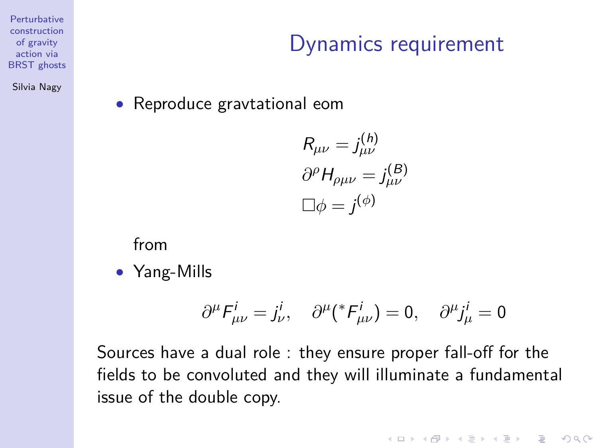Silvia Nagy

#### Dynamics requirement

• Reproduce gravtational eom

$$
R_{\mu\nu} = j_{\mu\nu}^{(h)}
$$

$$
\partial^{\rho} H_{\rho\mu\nu} = j_{\mu\nu}^{(B)}
$$

$$
\Box \phi = j^{(\phi)}
$$

from

• Yang-Mills

$$
\partial^{\mu}F^{i}_{\mu\nu}=j^{i}_{\nu},\quad \partial^{\mu}({}^{*}F^{i}_{\mu\nu})=0,\quad \partial^{\mu}j^{i}_{\mu}=0
$$

**KORK ERKER ADAM ADA** 

Sources have a dual role : they ensure proper fall-off for the fields to be convoluted and they will illuminate a fundamental issue of the double copy.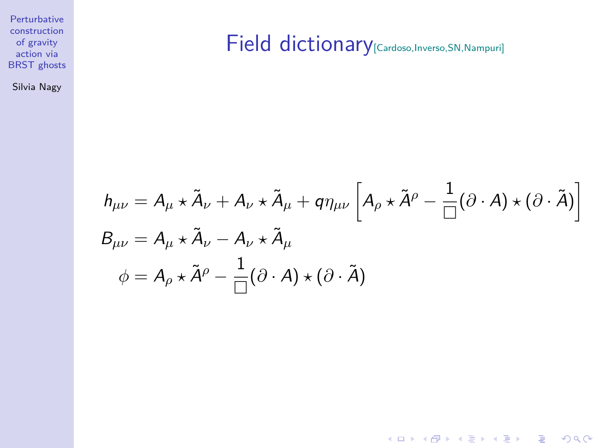Silvia Nagy

#### Field dictionary<sup>[Cardoso,Inverso,SN,Nampuri]</sup>

$$
h_{\mu\nu} = A_{\mu} \star \tilde{A}_{\nu} + A_{\nu} \star \tilde{A}_{\mu} + q \eta_{\mu\nu} \left[ A_{\rho} \star \tilde{A}^{\rho} - \frac{1}{\Box} (\partial \cdot A) \star (\partial \cdot \tilde{A}) \right]
$$
  
\n
$$
B_{\mu\nu} = A_{\mu} \star \tilde{A}_{\nu} - A_{\nu} \star \tilde{A}_{\mu}
$$
  
\n
$$
\phi = A_{\rho} \star \tilde{A}^{\rho} - \frac{1}{\Box} (\partial \cdot A) \star (\partial \cdot \tilde{A})
$$

K ロ ▶ K @ ▶ K 할 ▶ K 할 ▶ | 할 | ⊙Q @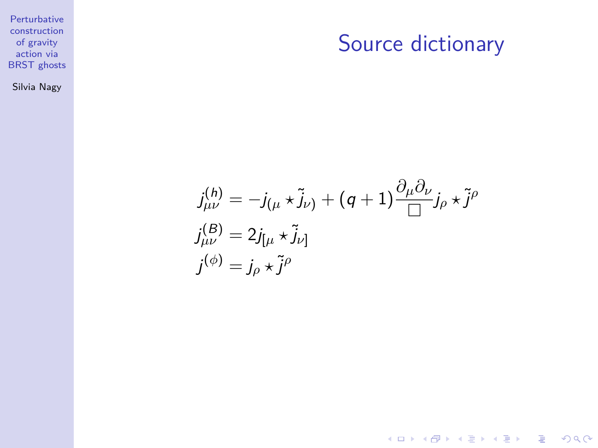#### Source dictionary

K ロ ▶ K @ ▶ K 할 ▶ K 할 ▶ | 할 | ⊙Q @

Silvia Nagy

$$
j_{\mu\nu}^{(h)} = -j_{(\mu} * \tilde{j}_{\nu)} + (q+1) \frac{\partial_{\mu} \partial_{\nu}}{\Box} j_{\rho} * \tilde{j}^{\rho}
$$
  

$$
j_{\mu\nu}^{(B)} = 2j_{[\mu} * \tilde{j}_{\nu]}
$$
  

$$
j^{(\phi)} = j_{\rho} * \tilde{j}^{\rho}
$$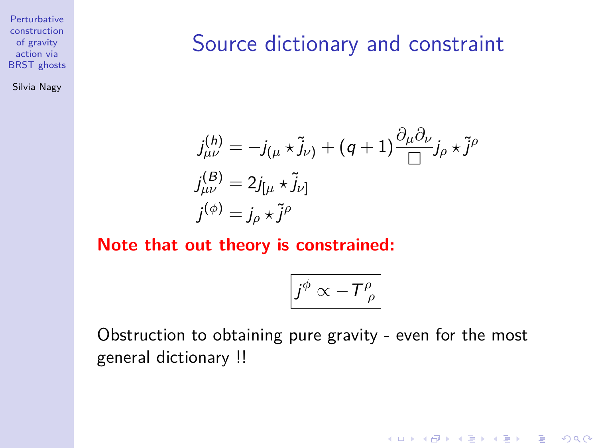Silvia Nagy

#### Source dictionary and constraint

$$
j_{\mu\nu}^{(h)} = -j_{(\mu} * \tilde{j}_{\nu)} + (q+1) \frac{\partial_{\mu} \partial_{\nu}}{\Box} j_{\rho} * \tilde{j}^{\rho}
$$
  

$$
j_{\mu\nu}^{(B)} = 2j_{[\mu} * \tilde{j}_{\nu]}
$$
  

$$
j^{(\phi)} = j_{\rho} * \tilde{j}^{\rho}
$$

#### **Note that out theory is constrained:**

$$
\boxed{j^\phi \propto -T^{\rho}_{\ \rho}}
$$

**KORK ERKER ADAM ADA** 

Obstruction to obtaining pure gravity - even for the most general dictionary !!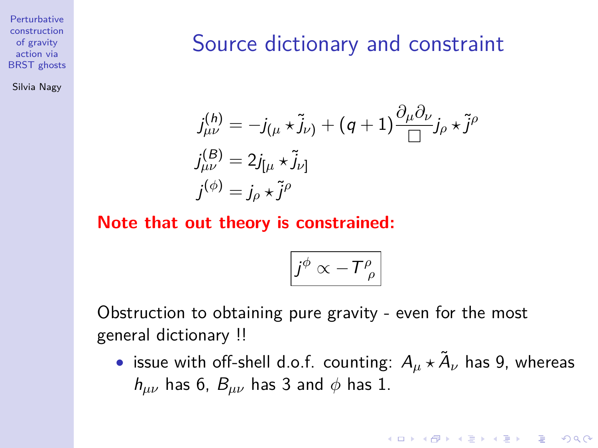Silvia Nagy

#### Source dictionary and constraint

$$
j_{\mu\nu}^{(h)} = -j_{(\mu} * \tilde{j}_{\nu)} + (q+1) \frac{\partial_{\mu} \partial_{\nu}}{\Box} j_{\rho} * \tilde{j}^{\rho}
$$
  

$$
j_{\mu\nu}^{(B)} = 2j_{[\mu} * \tilde{j}_{\nu]}
$$
  

$$
j^{(\phi)} = j_{\rho} * \tilde{j}^{\rho}
$$

**Note that out theory is constrained:**

$$
\left|j^{\phi}\propto-T_{\ \rho}^{\rho}\right|
$$

Obstruction to obtaining pure gravity - even for the most general dictionary !!

• issue with off-shell d.o.f. counting:  $A_\mu \star \tilde{A}_\nu$  has 9, whereas  $h_{\mu\nu}$  has 6,  $B_{\mu\nu}$  has 3 and  $\phi$  has 1.

**KORKAR KERKER SAGA**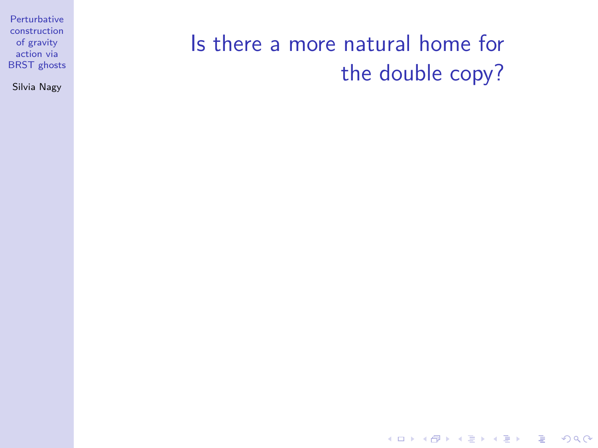Silvia Nagy

#### Is there a more natural home for the double copy?

K ロ ▶ K @ ▶ K 할 ▶ K 할 ▶ | 할 | © 9 Q @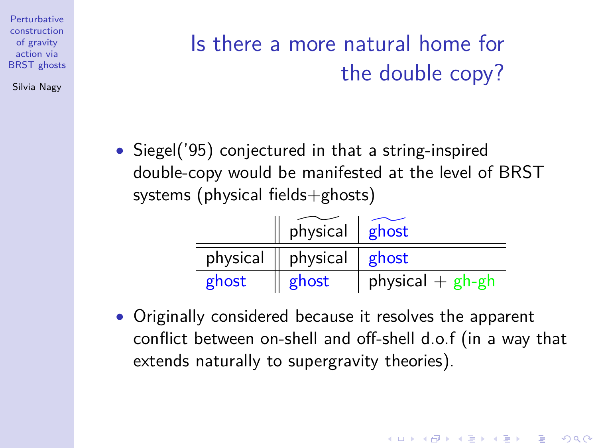Silvia Nagy

# Is there a more natural home for the double copy?

• Siegel('95) conjectured in that a string-inspired double-copy would be manifested at the level of BRST systems (physical fields+ghosts)

|          | $physical$ $ghost$ |                    |
|----------|--------------------|--------------------|
| physical | physical $ $ ghost |                    |
| ghost    | ghost              | physical $+$ gh-gh |

• Originally considered because it resolves the apparent conflict between on-shell and off-shell d.o.f (in a way that extends naturally to supergravity theories).

**KORKARYKERKER POLO**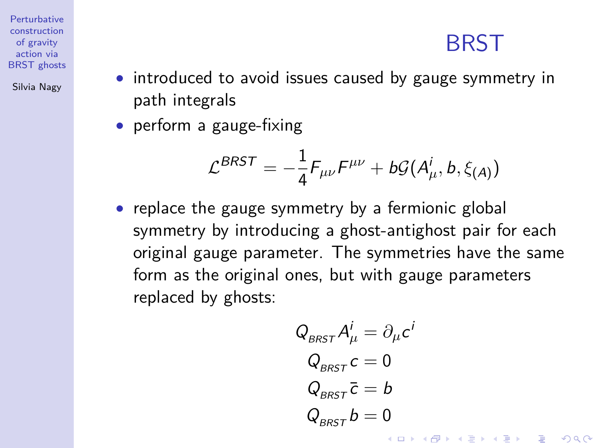#### **BRST**

**Perturbative** construction of gravity action via **BRST** ghosts

Silvia Nagy

- introduced to avoid issues caused by gauge symmetry in path integrals
- perform a gauge-fixing

$$
\mathcal{L}^{BRST} = -\frac{1}{4} F_{\mu\nu} F^{\mu\nu} + b\mathcal{G}(A^i_\mu, b, \xi_{(A)})
$$

• replace the gauge symmetry by a fermionic global symmetry by introducing a ghost-antighost pair for each original gauge parameter. The symmetries have the same form as the original ones, but with gauge parameters replaced by ghosts:

$$
Q_{BRST} A^i_\mu = \partial_\mu c^i
$$
  
\n
$$
Q_{BRST} c = 0
$$
  
\n
$$
Q_{BRST} \overline{c} = b
$$
  
\n
$$
Q_{BRST} b = 0
$$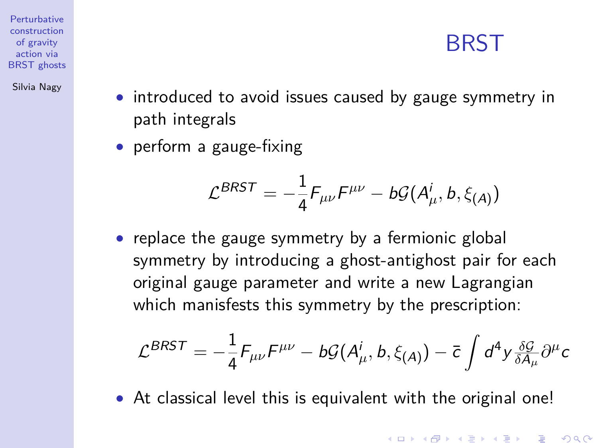#### **BRST**

**KORKARYKERKER POLO** 

<span id="page-15-0"></span>**Perturbative** construction of gravity action via **BRST** ghosts

Silvia Nagy

- introduced to avoid issues caused by gauge symmetry in path integrals
- perform a gauge-fixing

$$
\mathcal{L}^{BRST} = -\frac{1}{4} F_{\mu\nu} F^{\mu\nu} - b\mathcal{G}(A^i_\mu, b, \xi_{(A)})
$$

• replace the gauge symmetry by a fermionic global symmetry by introducing a ghost-antighost pair for each original gauge parameter and write a new Lagrangian which manisfests this symmetry by the prescription:

$$
\mathcal{L}^{BRST} = -\frac{1}{4} F_{\mu\nu} F^{\mu\nu} - b \mathcal{G}(A^i_\mu, b, \xi_{(A)}) - \bar{c} \int d^4 y \frac{\delta \mathcal{G}}{\delta A_\mu} \partial^\mu c
$$

• At classical level this is equivalent with the original one!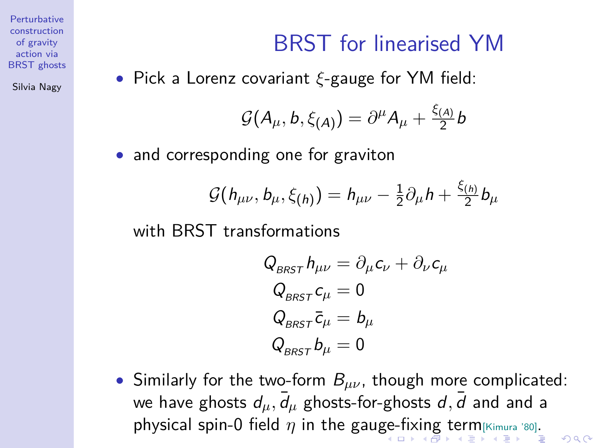Silvia Nagy

#### BRST for linearised YM

<span id="page-16-0"></span>• Pick a Lorenz covariant *ξ*-gauge for YM field:

$$
\mathcal{G}(A_{\mu},b,\xi_{(A)})=\partial^{\mu}A_{\mu}+\frac{\xi_{(A)}}{2}b
$$

• and corresponding one for graviton

$$
\mathcal{G}(h_{\mu\nu}, b_{\mu}, \xi_{(h)}) = h_{\mu\nu} - \frac{1}{2}\partial_{\mu}h + \frac{\xi_{(h)}}{2}b_{\mu}
$$

with BRST transformations

$$
Q_{BRST} h_{\mu\nu} = \partial_{\mu} c_{\nu} + \partial_{\nu} c_{\mu}
$$
  
\n
$$
Q_{BRST} c_{\mu} = 0
$$
  
\n
$$
Q_{BRST} \bar{c}_{\mu} = b_{\mu}
$$
  
\n
$$
Q_{BRST} b_{\mu} = 0
$$

• Similarly for the two-form B*µν*, though more complicated: we have ghosts  $d_\mu, \bar{d}_\mu$  ghosts-for-ghosts  $d, \bar{d}$  and and a physical sp[in](#page-15-0)-0 field  $\eta$  in the gau[ge-](#page-15-0)[fix](#page-17-0)in[g](#page-16-0) [t](#page-17-0)[er](#page-0-0)[m](#page-29-0) [[Kim](#page-0-0)[ura '8](#page-29-0)0][.](#page-0-0)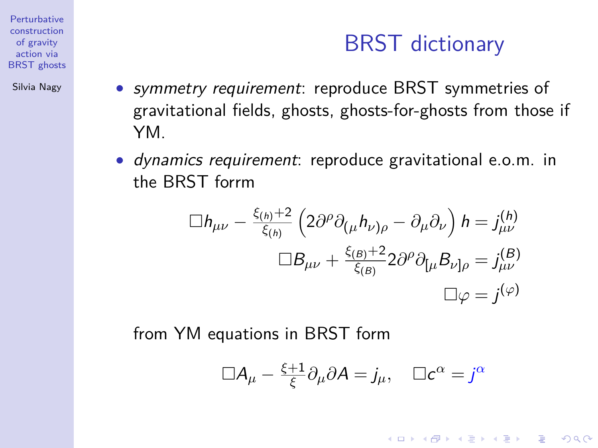Silvia Nagy

<span id="page-17-0"></span>• symmetry requirement: reproduce BRST symmetries of gravitational fields, ghosts, ghosts-for-ghosts from those if YM.

BRST dictionary

**KORK ERKER ADAM ADA** 

• dynamics requirement: reproduce gravitational e.o.m. in the BRST forrm

$$
\Box h_{\mu\nu} - \frac{\xi_{(h)} + 2}{\xi_{(h)}} \left( 2\partial^{\rho} \partial_{(\mu} h_{\nu)\rho} - \partial_{\mu} \partial_{\nu} \right) h = j_{\mu\nu}^{(h)}
$$

$$
\Box B_{\mu\nu} + \frac{\xi_{(B)} + 2}{\xi_{(B)}} 2\partial^{\rho} \partial_{[\mu} B_{\nu]\rho} = j_{\mu\nu}^{(B)}
$$

$$
\Box \varphi = j^{(\varphi)}
$$

from YM equations in BRST form

$$
\Box A_{\mu} - \frac{\xi + 1}{\xi} \partial_{\mu} \partial A = j_{\mu}, \quad \Box c^{\alpha} = j^{\alpha}
$$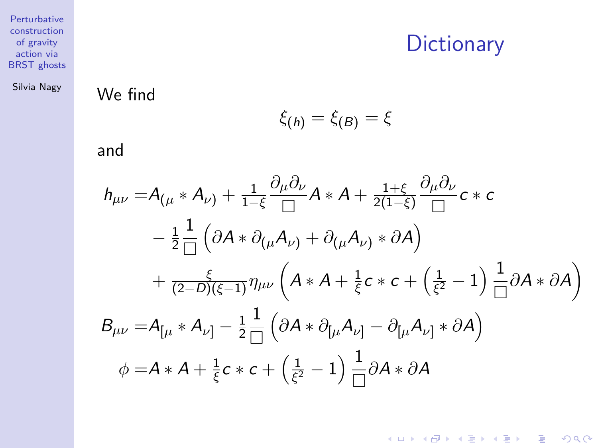#### **Dictionary**

K ロ ▶ K @ ▶ K 할 ▶ K 할 ▶ | 할 | ⊙Q @

[BRST ghosts](#page-0-0) Silvia Nagy

Perturbative construction of gravity action via

We find

$$
\xi_{(h)}=\xi_{(B)}=\xi
$$

and

$$
h_{\mu\nu} = A_{(\mu} * A_{\nu)} + \frac{1}{1-\xi} \frac{\partial_{\mu} \partial_{\nu}}{\Box} A * A + \frac{1+\xi}{2(1-\xi)} \frac{\partial_{\mu} \partial_{\nu}}{\Box} c * c
$$
  
\n
$$
- \frac{1}{2} \frac{1}{\Box} (\partial A * \partial_{(\mu} A_{\nu)} + \partial_{(\mu} A_{\nu)} * \partial A)
$$
  
\n
$$
+ \frac{\xi}{(2-D)(\xi-1)} \eta_{\mu\nu} (A * A + \frac{1}{\xi} c * c + (\frac{1}{\xi^2} - 1) \frac{1}{\Box} \partial A * \partial A)
$$
  
\n
$$
B_{\mu\nu} = A_{[\mu} * A_{\nu]} - \frac{1}{2} \frac{1}{\Box} (\partial A * \partial_{[\mu} A_{\nu]} - \partial_{[\mu} A_{\nu]} * \partial A)
$$
  
\n
$$
\phi = A * A + \frac{1}{\xi} c * c + (\frac{1}{\xi^2} - 1) \frac{1}{\Box} \partial A * \partial A
$$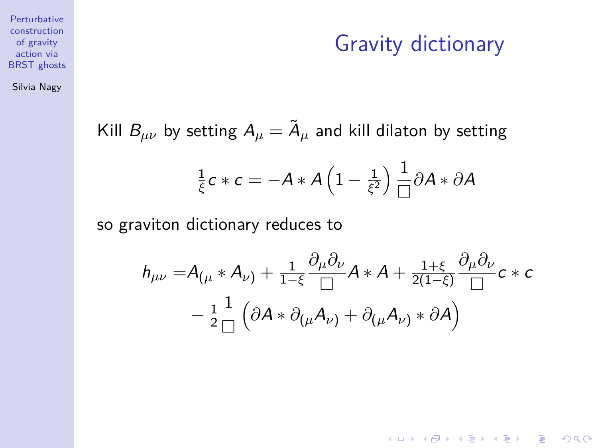Gravity dictionary

**KORKARRA ERKER SAGA** 

construction of gravity action via **BRST** ghosts

**Perturbative** 

Silvia Nagy

Kill  $B_{\mu\nu}$  by setting  $A_\mu = \tilde{A}_\mu$  and kill dilaton by setting

$$
\frac{1}{\xi}c*c=-A*A\left(1-\frac{1}{\xi^2}\right)\frac{1}{\Box}\partial A*\partial A
$$

so graviton dictionary reduces to

$$
h_{\mu\nu} = A_{(\mu} * A_{\nu)} + \frac{1}{1-\xi} \frac{\partial_{\mu} \partial_{\nu}}{\Box} A * A + \frac{1+\xi}{2(1-\xi)} \frac{\partial_{\mu} \partial_{\nu}}{\Box} c * c
$$

$$
- \frac{1}{2} \frac{1}{\Box} (\partial A * \partial_{(\mu} A_{\nu)} + \partial_{(\mu} A_{\nu)} * \partial A)
$$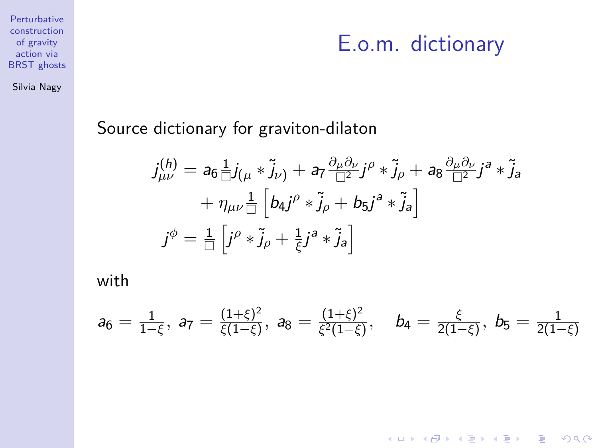#### Silvia Nagy

#### E.o.m. dictionary

K ロ ▶ K @ ▶ K 할 ▶ K 할 ▶ 이 할 → 9 Q Q →

Source dictionary for graviton-dilaton

$$
j_{\mu\nu}^{(h)} = a_6 \frac{1}{\Box} j_{(\mu} * \tilde{j}_{\nu)} + a_7 \frac{\partial_{\mu} \partial_{\nu}}{\Box^2} j^{\rho} * \tilde{j}_{\rho} + a_8 \frac{\partial_{\mu} \partial_{\nu}}{\Box^2} j^a * \tilde{j}_a
$$
  
+  $\eta_{\mu\nu} \frac{1}{\Box} \left[ b_4 j^{\rho} * \tilde{j}_{\rho} + b_5 j^a * \tilde{j}_a \right]$   
 $j^{\phi} = \frac{1}{\Box} \left[ j^{\rho} * \tilde{j}_{\rho} + \frac{1}{\xi} j^a * \tilde{j}_a \right]$ 

with

$$
a_6=\tfrac{1}{1-\xi},\; a_7=\tfrac{(1+\xi)^2}{\xi(1-\xi)},\; a_8=\tfrac{(1+\xi)^2}{\xi^2(1-\xi)},\quad b_4=\tfrac{\xi}{2(1-\xi)},\; b_5=\tfrac{1}{2(1-\xi)}
$$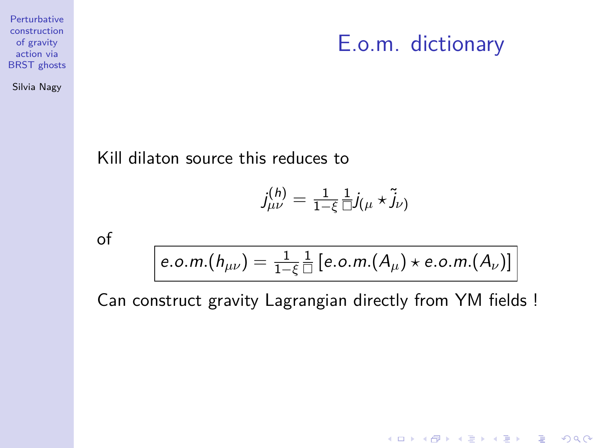#### E.o.m. dictionary

K ロ ▶ K @ ▶ K 할 ▶ K 할 ▶ | 할 | © 9 Q @

Silvia Nagy

Kill dilaton source this reduces to

$$
\mathcal{j}^{(h)}_{\mu\nu} = \tfrac{1}{1-\xi}\tfrac{1}{\Box}j_{(\mu}\star\widetilde{j}_{\nu)}
$$

of

$$
e.o.m.(h_{\mu\nu}) = \frac{1}{1-\xi} \frac{1}{\Box} [e.o.m.(A_{\mu}) \star e.o.m.(A_{\nu})]
$$

Can construct gravity Lagrangian directly from YM fields !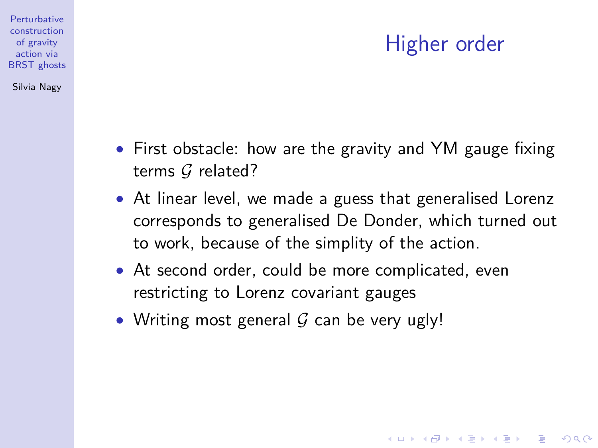#### Higher order

**KORKARYKERKER POLO** 

- First obstacle: how are the gravity and YM gauge fixing terms G related?
- At linear level, we made a guess that generalised Lorenz corresponds to generalised De Donder, which turned out to work, because of the simplity of the action.
- At second order, could be more complicated, even restricting to Lorenz covariant gauges
- Writing most general  $G$  can be very ugly!

**Perturbative** construction of gravity action via [BRST ghosts](#page-0-0) Silvia Nagy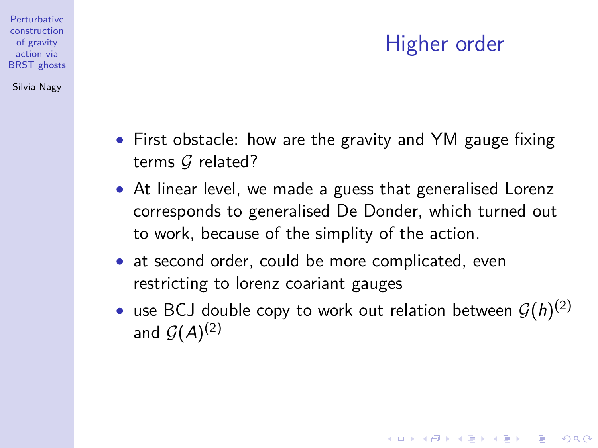#### Higher order

**KORKARYKERKER OQO** 

• First obstacle: how are the gravity and YM gauge fixing terms  $G$  related?

**Perturbative** construction of gravity action via **BRST** ghosts Silvia Nagy

- At linear level, we made a guess that generalised Lorenz corresponds to generalised De Donder, which turned out to work, because of the simplity of the action.
- at second order, could be more complicated, even restricting to lorenz coariant gauges
- use BCJ double copy to work out relation between  $\mathcal{G}(h)^{(2)}$ and  $\mathcal{G}(A)^{(2)}$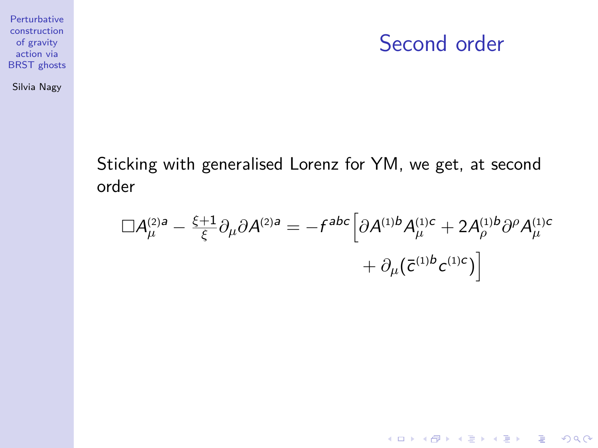#### Second order

K ロ ▶ K @ ▶ K 할 ▶ K 할 ▶ 이 할 → 9 Q Q →

Silvia Nagy

Sticking with generalised Lorenz for YM, we get, at second order

$$
\Box A_{\mu}^{(2)a} - \frac{\xi + 1}{\xi} \partial_{\mu} \partial A^{(2)a} = -f^{abc} \Big[ \partial A^{(1)b} A_{\mu}^{(1)c} + 2A_{\rho}^{(1)b} \partial^{\rho} A_{\mu}^{(1)c} + \partial_{\mu} (\bar{c}^{(1)b} c^{(1)c}) \Big]
$$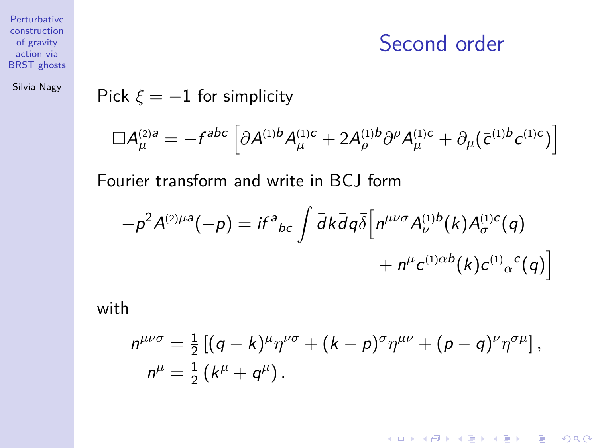Second order

K ロ ▶ K @ ▶ K 할 ▶ K 할 ▶ | 할 | © 9 Q @

Perturbative construction of gravity action via [BRST ghosts](#page-0-0)

Silvia Nagy

#### Pick  $\xi = -1$  for simplicity

$$
\Box A^{(2)a}_{\mu} = -f^{abc} \left[ \partial A^{(1)b} A^{(1)c}_{\mu} + 2 A^{(1)b}_{\rho} \partial^{\rho} A^{(1)c}_{\mu} + \partial_{\mu} (\bar{c}^{(1)b} c^{(1)c}) \right]
$$

Fourier transform and write in BCJ form

$$
-\rho^2 A^{(2)\mu a}(-\rho) = i f^a{}_{bc} \int \bar{d}k \bar{d}q \bar{\delta} \Big[ n^{\mu\nu\sigma} A^{(1)b}_{\nu}(k) A^{(1)c}_{\sigma}(q) + n^{\mu} c^{(1)\alpha b}(k) c^{(1)}{}_{\alpha}{}^{c}(q) \Big]
$$

with

$$
n^{\mu\nu\sigma} = \frac{1}{2} \left[ (q-k)^{\mu} \eta^{\nu\sigma} + (k-p)^{\sigma} \eta^{\mu\nu} + (p-q)^{\nu} \eta^{\sigma\mu} \right],
$$
  

$$
n^{\mu} = \frac{1}{2} (k^{\mu} + q^{\mu}).
$$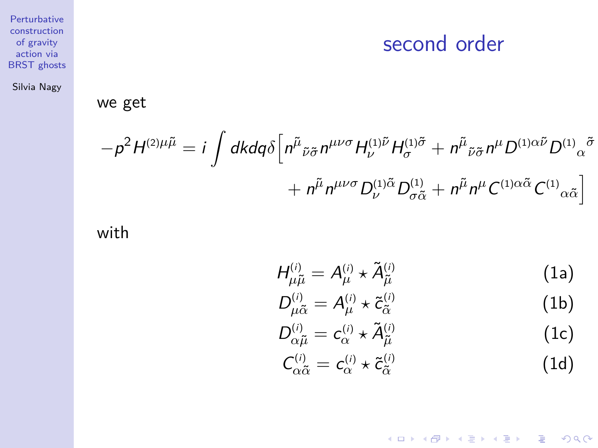#### second order

[BRST ghosts](#page-0-0) Silvia Nagy

Perturbative construction of gravity action via

#### we get

$$
-\rho^2 H^{(2)\mu\tilde{\mu}} = i \int d\mathbf{k} d\mathbf{q} \delta \left[ n^{\tilde{\mu}}{}_{\tilde{\nu}\tilde{\sigma}} n^{\mu\nu\sigma} H^{(1)\tilde{\nu}}_{\nu} H^{(1)\tilde{\sigma}}_{\sigma} + n^{\tilde{\mu}}{}_{\tilde{\nu}\tilde{\sigma}} n^{\mu} D^{(1)\alpha\tilde{\nu}} D^{(1)}{}_{\alpha}{}^{\tilde{\sigma}} + n^{\tilde{\mu}} n^{\mu\nu\sigma} D^{(1)\tilde{\alpha}}{}_{\tilde{\sigma}\tilde{\alpha}} D^{(1)}{}_{\alpha}{}^{\tilde{\alpha}} + n^{\tilde{\mu}} n^{\mu} C^{(1)\alpha\tilde{\alpha}} C^{(1)}{}_{\alpha\tilde{\alpha}} \right]
$$

with

$$
H_{\mu\tilde{\mu}}^{(i)} = A_{\mu}^{(i)} \star \tilde{A}_{\tilde{\mu}}^{(i)}
$$
 (1a)

$$
D_{\mu\tilde{\alpha}}^{(i)} = A_{\mu}^{(i)} \star \tilde{c}_{\tilde{\alpha}}^{(i)}
$$
 (1b)

$$
D_{\alpha\tilde{\mu}}^{(i)} = c_{\alpha}^{(i)} \star \tilde{A}_{\tilde{\mu}}^{(i)}
$$
 (1c)

$$
C_{\alpha\tilde{\alpha}}^{(i)} = c_{\alpha}^{(i)} \star \tilde{c}_{\tilde{\alpha}}^{(i)}
$$
 (1d)

K ロ ▶ K @ ▶ K 할 ▶ K 할 ▶ | 할 | ⊙Q @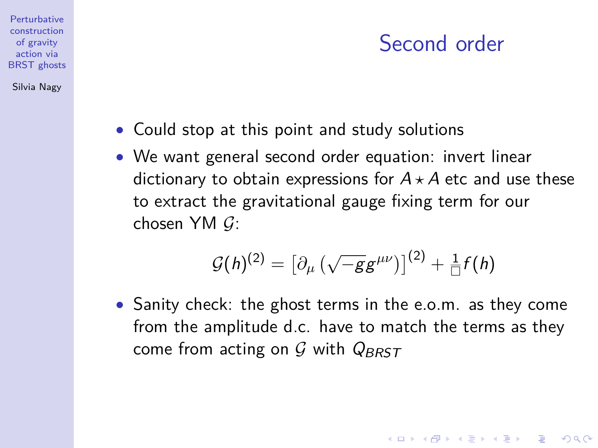#### Second order

**KORKARYKERKER OQO** 

• Could stop at this point and study solutions

**Perturbative** construction of gravity action via **BRST** ghosts Silvia Nagy

> • We want general second order equation: invert linear dictionary to obtain expressions for  $A \star A$  etc and use these to extract the gravitational gauge fixing term for our chosen YM  $G$ :

$$
\mathcal{G}(h)^{(2)} = \left[\partial_{\mu} \left(\sqrt{-g}g^{\mu\nu}\right)\right]^{(2)} + \frac{1}{\Box}f(h)
$$

• Sanity check: the ghost terms in the e.o.m. as they come from the amplitude d.c. have to match the terms as they come from acting on  $G$  with  $Q_{BRST}$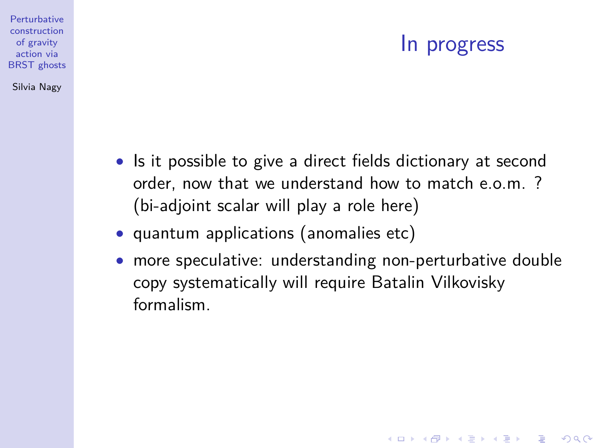#### In progress

**KORKARYKERKER OQO** 

- Is it possible to give a direct fields dictionary at second order, now that we understand how to match e.o.m. ? (bi-adjoint scalar will play a role here)
- quantum applications (anomalies etc)

**Perturbative** construction of gravity action via **BRST** ghosts Silvia Nagy

> • more speculative: understanding non-perturbative double copy systematically will require Batalin Vilkovisky formalism.